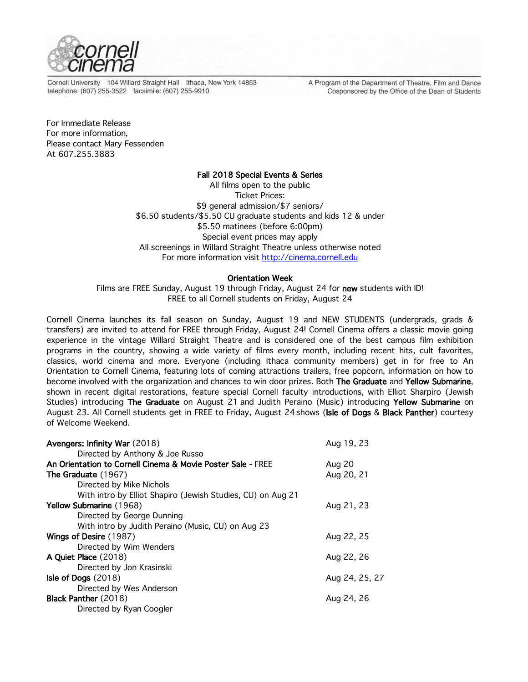

Cornell University 104 Willard Straight Hall Ithaca, New York 14853 telephone: (607) 255-3522 facsimile: (607) 255-9910

A Program of the Department of Theatre, Film and Dance Cosponsored by the Office of the Dean of Students

For Immediate Release For more information, Please contact Mary Fessenden At 607.255.3883

# Fall 2018 Special Events & Series

All films open to the public Ticket Prices: \$9 general admission/\$7 seniors/ \$6.50 students/\$5.50 CU graduate students and kids 12 & under \$5.50 matinees (before 6:00pm) Special event prices may apply All screenings in Willard Straight Theatre unless otherwise noted For more information visit http://cinema.cornell.edu

# Orientation Week

Films are FREE Sunday, August 19 through Friday, August 24 for new students with ID! FREE to all Cornell students on Friday, August 24

Cornell Cinema launches its fall season on Sunday, August 19 and NEW STUDENTS (undergrads, grads & transfers) are invited to attend for FREE through Friday, August 24! Cornell Cinema offers a classic movie going experience in the vintage Willard Straight Theatre and is considered one of the best campus film exhibition programs in the country, showing a wide variety of films every month, including recent hits, cult favorites, classics, world cinema and more. Everyone (including Ithaca community members) get in for free to An Orientation to Cornell Cinema, featuring lots of coming attractions trailers, free popcorn, information on how to become involved with the organization and chances to win door prizes. Both The Graduate and Yellow Submarine, shown in recent digital restorations, feature special Cornell faculty introductions, with Elliot Sharpiro (Jewish Studies) introducing The Graduate on August 21 and Judith Peraino (Music) introducing Yellow Submarine on August 23. All Cornell students get in FREE to Friday, August 24 shows (Isle of Dogs & Black Panther) courtesy of Welcome Weekend.

| Avengers: Infinity War (2018)                               | Aug 19, 23     |
|-------------------------------------------------------------|----------------|
| Directed by Anthony & Joe Russo                             |                |
| An Orientation to Cornell Cinema & Movie Poster Sale - FREE | Aug 20         |
| <b>The Graduate (1967)</b>                                  | Aug 20, 21     |
| Directed by Mike Nichols                                    |                |
| With intro by Elliot Shapiro (Jewish Studies, CU) on Aug 21 |                |
| <b>Yellow Submarine (1968)</b>                              | Aug 21, 23     |
| Directed by George Dunning                                  |                |
| With intro by Judith Peraino (Music, CU) on Aug 23          |                |
| Wings of Desire (1987)                                      | Aug 22, 25     |
| Directed by Wim Wenders                                     |                |
| A Quiet Place (2018)                                        | Aug 22, 26     |
| Directed by Jon Krasinski                                   |                |
| Isle of Dogs $(2018)$                                       | Aug 24, 25, 27 |
| Directed by Wes Anderson                                    |                |
| Black Panther (2018)                                        | Aug 24, 26     |
| Directed by Ryan Coogler                                    |                |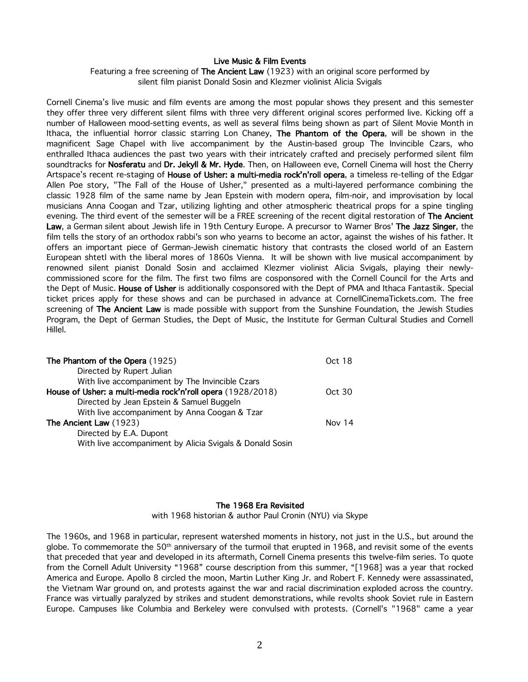# Live Music & Film Events

Featuring a free screening of The Ancient Law (1923) with an original score performed by silent film pianist Donald Sosin and Klezmer violinist Alicia Svigals

Cornell Cinema's live music and film events are among the most popular shows they present and this semester they offer three very different silent films with three very different original scores performed live. Kicking off a number of Halloween mood-setting events, as well as several films being shown as part of Silent Movie Month in Ithaca, the influential horror classic starring Lon Chaney, The Phantom of the Opera, will be shown in the magnificent Sage Chapel with live accompaniment by the Austin-based group The Invincible Czars, who enthralled Ithaca audiences the past two years with their intricately crafted and precisely performed silent film soundtracks for Nosferatu and Dr. Jekyll & Mr. Hyde. Then, on Halloween eve, Cornell Cinema will host the Cherry Artspace's recent re-staging of House of Usher: a multi-media rock'n'roll opera, a timeless re-telling of the Edgar Allen Poe story, "The Fall of the House of Usher," presented as a multi-layered performance combining the classic 1928 film of the same name by Jean Epstein with modern opera, film-noir, and improvisation by local musicians Anna Coogan and Tzar, utilizing lighting and other atmospheric theatrical props for a spine tingling evening. The third event of the semester will be a FREE screening of the recent digital restoration of The Ancient Law, a German silent about Jewish life in 19th Century Europe. A precursor to Warner Bros' The Jazz Singer, the film tells the story of an orthodox rabbi's son who yearns to become an actor, against the wishes of his father. It offers an important piece of German-Jewish cinematic history that contrasts the closed world of an Eastern European shtetl with the liberal mores of 1860s Vienna. It will be shown with live musical accompaniment by renowned silent pianist Donald Sosin and acclaimed Klezmer violinist Alicia Svigals, playing their newlycommissioned score for the film. The first two films are cosponsored with the Cornell Council for the Arts and the Dept of Music. House of Usher is additionally cosponsored with the Dept of PMA and Ithaca Fantastik. Special ticket prices apply for these shows and can be purchased in advance at CornellCinemaTickets.com. The free screening of The Ancient Law is made possible with support from the Sunshine Foundation, the Jewish Studies Program, the Dept of German Studies, the Dept of Music, the Institute for German Cultural Studies and Cornell Hillel.

| The Phantom of the Opera (1925)                             | Oct 18 |
|-------------------------------------------------------------|--------|
| Directed by Rupert Julian                                   |        |
| With live accompaniment by The Invincible Czars             |        |
| House of Usher: a multi-media rock'n'roll opera (1928/2018) | Oct 30 |
| Directed by Jean Epstein & Samuel Buggeln                   |        |
| With live accompaniment by Anna Coogan & Tzar               |        |
| The Ancient Law (1923)                                      | Nov 14 |
| Directed by E.A. Dupont                                     |        |
| With live accompaniment by Alicia Svigals & Donald Sosin    |        |

#### The 1968 Era Revisited

with 1968 historian & author Paul Cronin (NYU) via Skype

The 1960s, and 1968 in particular, represent watershed moments in history, not just in the U.S., but around the globe. To commemorate the  $50<sup>th</sup>$  anniversary of the turmoil that erupted in 1968, and revisit some of the events that preceded that year and developed in its aftermath, Cornell Cinema presents this twelve-film series. To quote from the Cornell Adult University "1968" course description from this summer, "[1968] was a year that rocked America and Europe. Apollo 8 circled the moon, Martin Luther King Jr. and Robert F. Kennedy were assassinated, the Vietnam War ground on, and protests against the war and racial discrimination exploded across the country. France was virtually paralyzed by strikes and student demonstrations, while revolts shook Soviet rule in Eastern Europe. Campuses like Columbia and Berkeley were convulsed with protests. (Cornell's "1968" came a year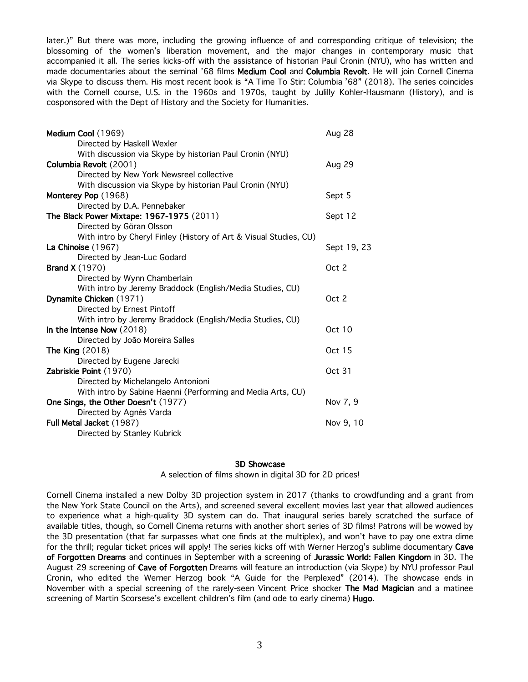later.)" But there was more, including the growing influence of and corresponding critique of television; the blossoming of the women's liberation movement, and the major changes in contemporary music that accompanied it all. The series kicks-off with the assistance of historian Paul Cronin (NYU), who has written and made documentaries about the seminal '68 films Medium Cool and Columbia Revolt. He will join Cornell Cinema via Skype to discuss them. His most recent book is "A Time To Stir: Columbia '68" (2018). The series coincides with the Cornell course, U.S. in the 1960s and 1970s, taught by Julilly Kohler-Hausmann (History), and is cosponsored with the Dept of History and the Society for Humanities.

| Medium Cool (1969)                                                | Aug 28        |
|-------------------------------------------------------------------|---------------|
| Directed by Haskell Wexler                                        |               |
| With discussion via Skype by historian Paul Cronin (NYU)          |               |
| Columbia Revolt (2001)                                            | Aug 29        |
| Directed by New York Newsreel collective                          |               |
| With discussion via Skype by historian Paul Cronin (NYU)          |               |
| Monterey Pop (1968)                                               | Sept 5        |
| Directed by D.A. Pennebaker                                       |               |
| The Black Power Mixtape: 1967-1975 (2011)                         | Sept 12       |
| Directed by Göran Olsson                                          |               |
| With intro by Cheryl Finley (History of Art & Visual Studies, CU) |               |
| La Chinoise (1967)                                                | Sept 19, 23   |
| Directed by Jean-Luc Godard                                       |               |
| <b>Brand X</b> (1970)                                             | Oct 2         |
| Directed by Wynn Chamberlain                                      |               |
| With intro by Jeremy Braddock (English/Media Studies, CU)         |               |
| Dynamite Chicken (1971)                                           | Oct 2         |
| Directed by Ernest Pintoff                                        |               |
| With intro by Jeremy Braddock (English/Media Studies, CU)         |               |
| In the Intense Now (2018)                                         | <b>Oct 10</b> |
| Directed by João Moreira Salles                                   |               |
| The King $(2018)$                                                 | Oct 15        |
| Directed by Eugene Jarecki                                        |               |
| Zabriskie Point (1970)                                            | Oct 31        |
| Directed by Michelangelo Antonioni                                |               |
| With intro by Sabine Haenni (Performing and Media Arts, CU)       |               |
| One Sings, the Other Doesn't (1977)                               | Nov 7, 9      |
| Directed by Agnès Varda                                           |               |
| Full Metal Jacket (1987)                                          | Nov 9, 10     |
| Directed by Stanley Kubrick                                       |               |

# 3D Showcase

A selection of films shown in digital 3D for 2D prices!

Cornell Cinema installed a new Dolby 3D projection system in 2017 (thanks to crowdfunding and a grant from the New York State Council on the Arts), and screened several excellent movies last year that allowed audiences to experience what a high-quality 3D system can do. That inaugural series barely scratched the surface of available titles, though, so Cornell Cinema returns with another short series of 3D films! Patrons will be wowed by the 3D presentation (that far surpasses what one finds at the multiplex), and won't have to pay one extra dime for the thrill; regular ticket prices will apply! The series kicks off with Werner Herzog's sublime documentary Cave of Forgotten Dreams and continues in September with a screening of Jurassic World: Fallen Kingdom in 3D. The August 29 screening of Cave of Forgotten Dreams will feature an introduction (via Skype) by NYU professor Paul Cronin, who edited the Werner Herzog book "A Guide for the Perplexed" (2014). The showcase ends in November with a special screening of the rarely-seen Vincent Price shocker The Mad Magician and a matinee screening of Martin Scorsese's excellent children's film (and ode to early cinema) Hugo.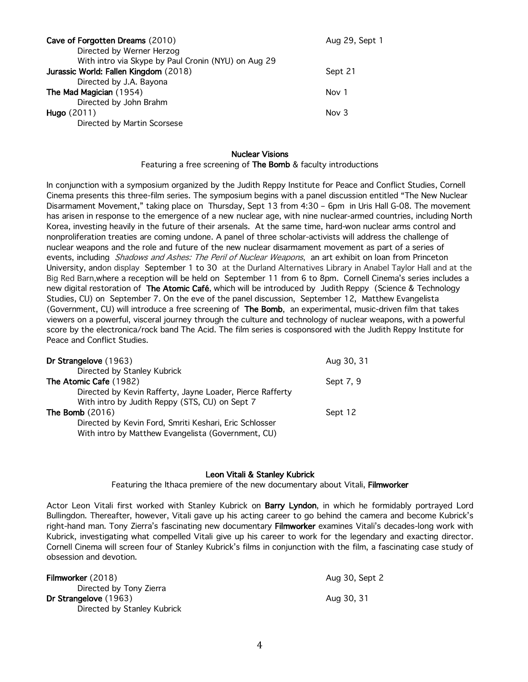| Cave of Forgotten Dreams (2010)                     | Aug 29, Sept 1 |
|-----------------------------------------------------|----------------|
| Directed by Werner Herzog                           |                |
| With intro via Skype by Paul Cronin (NYU) on Aug 29 |                |
| Jurassic World: Fallen Kingdom (2018)               | Sept 21        |
| Directed by J.A. Bayona                             |                |
| The Mad Magician (1954)                             | Nov 1          |
| Directed by John Brahm                              |                |
| Hugo $(2011)$                                       | Nov $3$        |
| Directed by Martin Scorsese                         |                |

#### Nuclear Visions

Featuring a free screening of The Bomb & faculty introductions

In conjunction with a symposium organized by the Judith Reppy Institute for Peace and Conflict Studies, Cornell Cinema presents this three-film series. The symposium begins with a panel discussion entitled "The New Nuclear Disarmament Movement," taking place on Thursday, Sept 13 from 4:30 – 6pm in Uris Hall G-08. The movement has arisen in response to the emergence of a new nuclear age, with nine nuclear-armed countries, including North Korea, investing heavily in the future of their arsenals. At the same time, hard-won nuclear arms control and nonproliferation treaties are coming undone. A panel of three scholar-activists will address the challenge of nuclear weapons and the role and future of the new nuclear disarmament movement as part of a series of events, including Shadows and Ashes: The Peril of Nuclear Weapons, an art exhibit on loan from Princeton University, andon display September 1 to 30 at the Durland Alternatives Library in Anabel Taylor Hall and at the Big Red Barn,where a reception will be held on September 11 from 6 to 8pm. Cornell Cinema's series includes a new digital restoration of The Atomic Café, which will be introduced by Judith Reppy (Science & Technology Studies, CU) on September 7. On the eve of the panel discussion, September 12, Matthew Evangelista (Government, CU) will introduce a free screening of The Bomb, an experimental, music-driven film that takes viewers on a powerful, visceral journey through the culture and technology of nuclear weapons, with a powerful score by the electronica/rock band The Acid. The film series is cosponsored with the Judith Reppy Institute for Peace and Conflict Studies.

| Dr Strangelove (1963)                                                                                        | Aug 30, 31 |
|--------------------------------------------------------------------------------------------------------------|------------|
| Directed by Stanley Kubrick                                                                                  |            |
| The Atomic Cafe (1982)                                                                                       | Sept 7, 9  |
| Directed by Kevin Rafferty, Jayne Loader, Pierce Rafferty                                                    |            |
| With intro by Judith Reppy (STS, CU) on Sept 7                                                               |            |
| The Bomb $(2016)$                                                                                            | Sept 12    |
| Directed by Kevin Ford, Smriti Keshari, Eric Schlosser<br>With intro by Matthew Evangelista (Government, CU) |            |
|                                                                                                              |            |

# Leon Vitali & Stanley Kubrick

Featuring the Ithaca premiere of the new documentary about Vitali, Filmworker

Actor Leon Vitali first worked with Stanley Kubrick on Barry Lyndon, in which he formidably portrayed Lord Bullingdon. Thereafter, however, Vitali gave up his acting career to go behind the camera and become Kubrick's right-hand man. Tony Zierra's fascinating new documentary Filmworker examines Vitali's decades-long work with Kubrick, investigating what compelled Vitali give up his career to work for the legendary and exacting director. Cornell Cinema will screen four of Stanley Kubrick's films in conjunction with the film, a fascinating case study of obsession and devotion.

| Filmworker (2018)           | Aug 30, Sept 2 |
|-----------------------------|----------------|
| Directed by Tony Zierra     |                |
| Dr Strangelove (1963)       | Aug 30, 31     |
| Directed by Stanley Kubrick |                |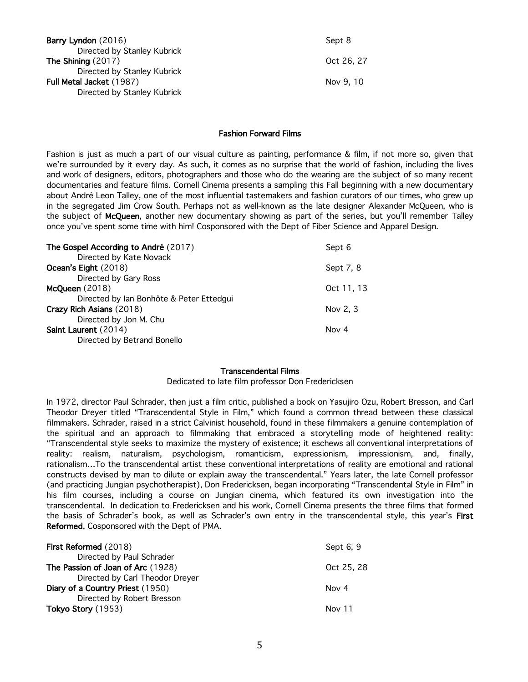| Barry Lyndon (2016)         | Sept 8     |
|-----------------------------|------------|
| Directed by Stanley Kubrick |            |
| The Shining $(2017)$        | Oct 26, 27 |
| Directed by Stanley Kubrick |            |
| Full Metal Jacket (1987)    | Nov 9, 10  |
| Directed by Stanley Kubrick |            |
|                             |            |

# Fashion Forward Films

Fashion is just as much a part of our visual culture as painting, performance & film, if not more so, given that we're surrounded by it every day. As such, it comes as no surprise that the world of fashion, including the lives and work of designers, editors, photographers and those who do the wearing are the subject of so many recent documentaries and feature films. Cornell Cinema presents a sampling this Fall beginning with a new documentary about André Leon Talley, one of the most influential tastemakers and fashion curators of our times, who grew up in the segregated Jim Crow South. Perhaps not as well-known as the late designer Alexander McQueen, who is the subject of McQueen, another new documentary showing as part of the series, but you'll remember Talley once you've spent some time with him! Cosponsored with the Dept of Fiber Science and Apparel Design.

| Sept 6     |
|------------|
|            |
| Sept 7, 8  |
|            |
| Oct 11, 13 |
|            |
| Nov 2, 3   |
|            |
| Nov 4      |
|            |
|            |

#### Transcendental Films

Dedicated to late film professor Don Fredericksen

In 1972, director Paul Schrader, then just a film critic, published a book on Yasujiro Ozu, Robert Bresson, and Carl Theodor Dreyer titled "Transcendental Style in Film," which found a common thread between these classical filmmakers. Schrader, raised in a strict Calvinist household, found in these filmmakers a genuine contemplation of the spiritual and an approach to filmmaking that embraced a storytelling mode of heightened reality: "Transcendental style seeks to maximize the mystery of existence; it eschews all conventional interpretations of reality: realism, naturalism, psychologism, romanticism, expressionism, impressionism, and, finally, rationalism…To the transcendental artist these conventional interpretations of reality are emotional and rational constructs devised by man to dilute or explain away the transcendental." Years later, the late Cornell professor (and practicing Jungian psychotherapist), Don Fredericksen, began incorporating "Transcendental Style in Film" in his film courses, including a course on Jungian cinema, which featured its own investigation into the transcendental. In dedication to Fredericksen and his work, Cornell Cinema presents the three films that formed the basis of Schrader's book, as well as Schrader's own entry in the transcendental style, this year's First Reformed. Cosponsored with the Dept of PMA.

| First Reformed (2018)             | Sept 6, 9  |
|-----------------------------------|------------|
| Directed by Paul Schrader         |            |
| The Passion of Joan of Arc (1928) | Oct 25, 28 |
| Directed by Carl Theodor Dreyer   |            |
| Diary of a Country Priest (1950)  | Nov 4      |
| Directed by Robert Bresson        |            |
| Tokyo Story (1953)                | Nov 11     |
|                                   |            |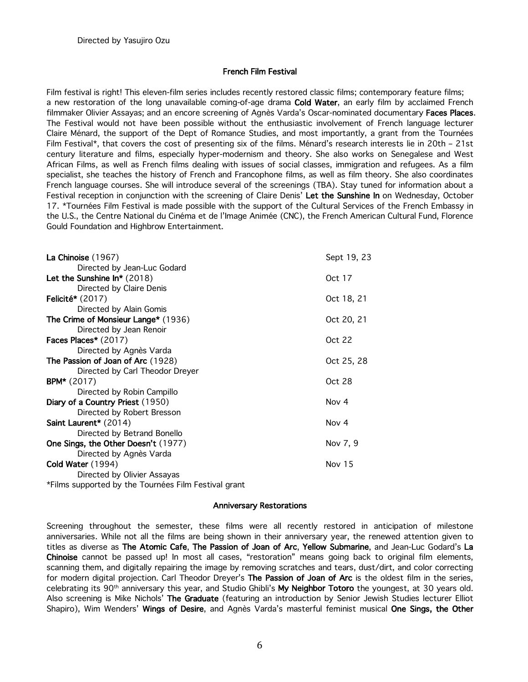# French Film Festival

Film festival is right! This eleven-film series includes recently restored classic films; contemporary feature films; a new restoration of the long unavailable coming-of-age drama Cold Water, an early film by acclaimed French filmmaker Olivier Assayas; and an encore screening of Agnès Varda's Oscar-nominated documentary Faces Places. The Festival would not have been possible without the enthusiastic involvement of French language lecturer Claire Ménard, the support of the Dept of Romance Studies, and most importantly, a grant from the Tournées Film Festival\*, that covers the cost of presenting six of the films. Ménard's research interests lie in 20th – 21st century literature and films, especially hyper-modernism and theory. She also works on Senegalese and West African Films, as well as French films dealing with issues of social classes, immigration and refugees. As a film specialist, she teaches the history of French and Francophone films, as well as film theory. She also coordinates French language courses. She will introduce several of the screenings (TBA). Stay tuned for information about a Festival reception in conjunction with the screening of Claire Denis' Let the Sunshine In on Wednesday, October 17. \*Tournées Film Festival is made possible with the support of the Cultural Services of the French Embassy in the U.S., the Centre National du Cinéma et de l'Image Animée (CNC), the French American Cultural Fund, Florence Gould Foundation and Highbrow Entertainment.

| La Chinoise (1967)                                   | Sept 19, 23   |
|------------------------------------------------------|---------------|
| Directed by Jean-Luc Godard                          |               |
| Let the Sunshine $\ln^*(2018)$                       | Oct 17        |
| Directed by Claire Denis                             |               |
| Felicité* $(2017)$                                   | Oct 18, 21    |
| Directed by Alain Gomis                              |               |
| The Crime of Monsieur Lange* (1936)                  | Oct 20, 21    |
| Directed by Jean Renoir                              |               |
| Faces Places* $(2017)$                               | Oct 22        |
| Directed by Agnès Varda                              |               |
| The Passion of Joan of Arc (1928)                    | Oct 25, 28    |
| Directed by Carl Theodor Dreyer                      |               |
| <b>BPM*</b> $(2017)$                                 | Oct 28        |
| Directed by Robin Campillo                           |               |
| Diary of a Country Priest (1950)                     | Nov 4         |
| Directed by Robert Bresson                           |               |
| Saint Laurent* (2014)                                | Nov 4         |
| Directed by Betrand Bonello                          |               |
| One Sings, the Other Doesn't (1977)                  | Nov 7, 9      |
| Directed by Agnès Varda                              |               |
| Cold Water (1994)                                    | <b>Nov 15</b> |
| Directed by Olivier Assayas                          |               |
| *Films supported by the Tournées Film Festival grant |               |

#### Anniversary Restorations

Screening throughout the semester, these films were all recently restored in anticipation of milestone anniversaries. While not all the films are being shown in their anniversary year, the renewed attention given to titles as diverse as The Atomic Cafe, The Passion of Joan of Arc, Yellow Submarine, and Jean-Luc Godard's La Chinoise cannot be passed up! In most all cases, "restoration" means going back to original film elements, scanning them, and digitally repairing the image by removing scratches and tears, dust/dirt, and color correcting for modern digital projection. Carl Theodor Dreyer's The Passion of Joan of Arc is the oldest film in the series, celebrating its 90<sup>th</sup> anniversary this year, and Studio Ghibli's My Neighbor Totoro the youngest, at 30 years old. Also screening is Mike Nichols' The Graduate (featuring an introduction by Senior Jewish Studies lecturer Elliot Shapiro), Wim Wenders' Wings of Desire, and Agnès Varda's masterful feminist musical One Sings, the Other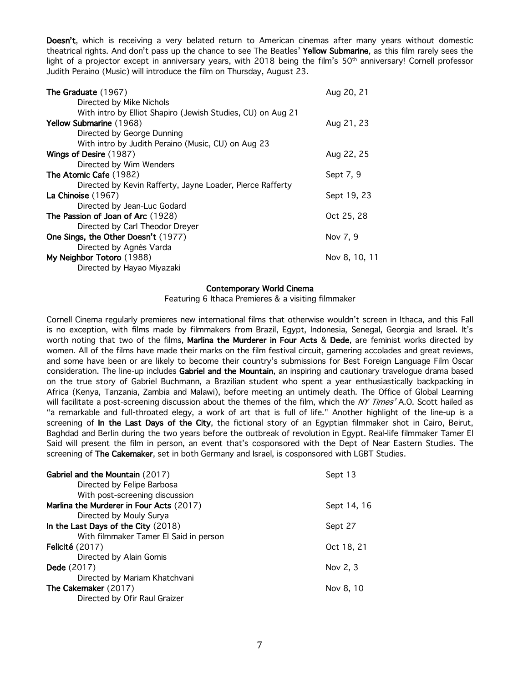Doesn't, which is receiving a very belated return to American cinemas after many years without domestic theatrical rights. And don't pass up the chance to see The Beatles' Yellow Submarine, as this film rarely sees the light of a projector except in anniversary years, with 2018 being the film's 50<sup>th</sup> anniversary! Cornell professor Judith Peraino (Music) will introduce the film on Thursday, August 23.

| <b>The Graduate (1967)</b>                                  | Aug 20, 21    |
|-------------------------------------------------------------|---------------|
| Directed by Mike Nichols                                    |               |
| With intro by Elliot Shapiro (Jewish Studies, CU) on Aug 21 |               |
| Yellow Submarine (1968)                                     | Aug 21, 23    |
| Directed by George Dunning                                  |               |
| With intro by Judith Peraino (Music, CU) on Aug 23          |               |
| Wings of Desire (1987)                                      | Aug 22, 25    |
| Directed by Wim Wenders                                     |               |
| The Atomic Cafe (1982)                                      | Sept 7, 9     |
| Directed by Kevin Rafferty, Jayne Loader, Pierce Rafferty   |               |
| La Chinoise (1967)                                          | Sept 19, 23   |
| Directed by Jean-Luc Godard                                 |               |
| The Passion of Joan of Arc (1928)                           | Oct 25, 28    |
| Directed by Carl Theodor Dreyer                             |               |
| One Sings, the Other Doesn't (1977)                         | Nov 7, 9      |
| Directed by Agnès Varda                                     |               |
| My Neighbor Totoro (1988)                                   | Nov 8, 10, 11 |
| Directed by Hayao Miyazaki                                  |               |

#### Contemporary World Cinema

Featuring 6 Ithaca Premieres & a visiting filmmaker

Cornell Cinema regularly premieres new international films that otherwise wouldn't screen in Ithaca, and this Fall is no exception, with films made by filmmakers from Brazil, Egypt, Indonesia, Senegal, Georgia and Israel. It's worth noting that two of the films, Marlina the Murderer in Four Acts & Dede, are feminist works directed by women. All of the films have made their marks on the film festival circuit, garnering accolades and great reviews, and some have been or are likely to become their country's submissions for Best Foreign Language Film Oscar consideration. The line-up includes Gabriel and the Mountain, an inspiring and cautionary travelogue drama based on the true story of Gabriel Buchmann, a Brazilian student who spent a year enthusiastically backpacking in Africa (Kenya, Tanzania, Zambia and Malawi), before meeting an untimely death. The Office of Global Learning will facilitate a post-screening discussion about the themes of the film, which the NY Times' A.O. Scott hailed as "a remarkable and full-throated elegy, a work of art that is full of life." Another highlight of the line-up is a screening of In the Last Days of the City, the fictional story of an Egyptian filmmaker shot in Cairo, Beirut, Baghdad and Berlin during the two years before the outbreak of revolution in Egypt. Real-life filmmaker Tamer El Said will present the film in person, an event that's cosponsored with the Dept of Near Eastern Studies. The screening of The Cakemaker, set in both Germany and Israel, is cosponsored with LGBT Studies.

| Gabriel and the Mountain (2017)          | Sept 13     |
|------------------------------------------|-------------|
| Directed by Felipe Barbosa               |             |
| With post-screening discussion           |             |
| Marlina the Murderer in Four Acts (2017) | Sept 14, 16 |
| Directed by Mouly Surya                  |             |
| In the Last Days of the City (2018)      | Sept 27     |
| With filmmaker Tamer El Said in person   |             |
| Felicité $(2017)$                        | Oct 18, 21  |
| Directed by Alain Gomis                  |             |
| <b>Dede</b> (2017)                       | Nov 2, 3    |
| Directed by Mariam Khatchvani            |             |
| The Cakemaker (2017)                     | Nov 8, 10   |
| Directed by Ofir Raul Graizer            |             |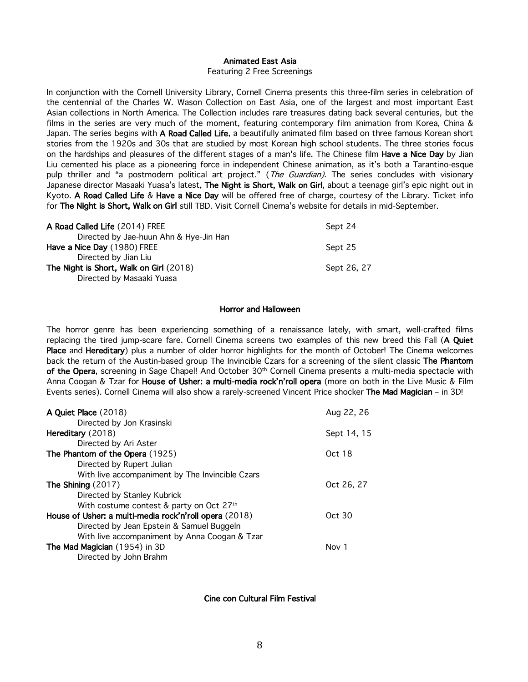### Animated East Asia

Featuring 2 Free Screenings

In conjunction with the Cornell University Library, Cornell Cinema presents this three-film series in celebration of the centennial of the Charles W. Wason Collection on East Asia, one of the largest and most important East Asian collections in North America. The Collection includes rare treasures dating back several centuries, but the films in the series are very much of the moment, featuring contemporary film animation from Korea, China & Japan. The series begins with A Road Called Life, a beautifully animated film based on three famous Korean short stories from the 1920s and 30s that are studied by most Korean high school students. The three stories focus on the hardships and pleasures of the different stages of a man's life. The Chinese film Have a Nice Day by Jian Liu cemented his place as a pioneering force in independent Chinese animation, as it's both a Tarantino-esque pulp thriller and "a postmodern political art project." (The Guardian). The series concludes with visionary Japanese director Masaaki Yuasa's latest, The Night is Short, Walk on Girl, about a teenage girl's epic night out in Kyoto. A Road Called Life & Have a Nice Day will be offered free of charge, courtesy of the Library. Ticket info for The Night is Short, Walk on Girl still TBD. Visit Cornell Cinema's website for details in mid-September.

| A Road Called Life (2014) FREE          | Sept 24     |
|-----------------------------------------|-------------|
| Directed by Jae-huun Ahn & Hye-Jin Han  |             |
| Have a Nice Day (1980) FREE             | Sept 25     |
| Directed by Jian Liu                    |             |
| The Night is Short, Walk on Girl (2018) | Sept 26, 27 |
| Directed by Masaaki Yuasa               |             |

#### Horror and Halloween

The horror genre has been experiencing something of a renaissance lately, with smart, well-crafted films replacing the tired jump-scare fare. Cornell Cinema screens two examples of this new breed this Fall (A Quiet Place and Hereditary) plus a number of older horror highlights for the month of October! The Cinema welcomes back the return of the Austin-based group The Invincible Czars for a screening of the silent classic The Phantom of the Opera, screening in Sage Chapel! And October 30th Cornell Cinema presents a multi-media spectacle with Anna Coogan & Tzar for House of Usher: a multi-media rock'n'roll opera (more on both in the Live Music & Film Events series). Cornell Cinema will also show a rarely-screened Vincent Price shocker The Mad Magician – in 3D!

| Aug 22, 26  |
|-------------|
|             |
| Sept 14, 15 |
|             |
| Oct 18      |
|             |
|             |
| Oct 26, 27  |
|             |
|             |
| Oct 30      |
|             |
|             |
| Nov 1       |
|             |
|             |

Cine con Cultural Film Festival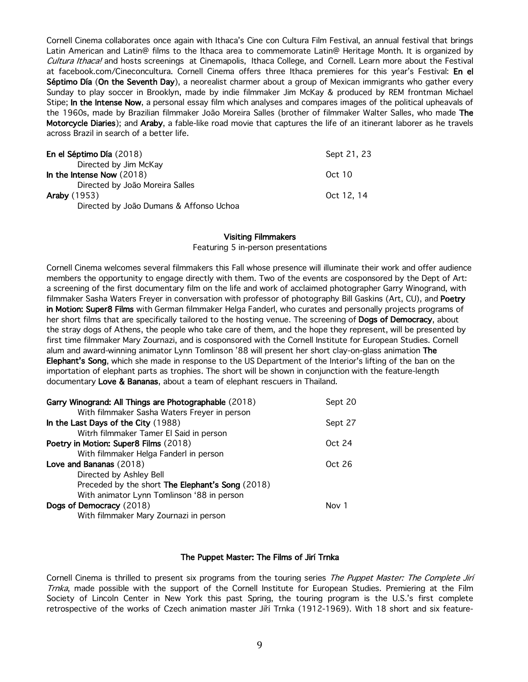Cornell Cinema collaborates once again with Ithaca's Cine con Cultura Film Festival, an annual festival that brings Latin American and Latin@ films to the Ithaca area to commemorate Latin@ Heritage Month. It is organized by Cultura Ithaca! and hosts screenings at Cinemapolis, Ithaca College, and Cornell. Learn more about the Festival at facebook.com/Cineconcultura. Cornell Cinema offers three Ithaca premieres for this year's Festival: En el Séptimo Día (On the Seventh Day), a neorealist charmer about a group of Mexican immigrants who gather every Sunday to play soccer in Brooklyn, made by indie filmmaker Jim McKay & produced by REM frontman Michael Stipe; In the Intense Now, a personal essay film which analyses and compares images of the political upheavals of the 1960s, made by Brazilian filmmaker João Moreira Salles (brother of filmmaker Walter Salles, who made The Motorcycle Diaries); and Araby, a fable-like road movie that captures the life of an itinerant laborer as he travels across Brazil in search of a better life.

| En el Séptimo Día (2018)                | Sept 21, 23 |
|-----------------------------------------|-------------|
| Directed by Jim McKay                   |             |
| In the Intense Now $(2018)$             | Oct $10$    |
| Directed by João Moreira Salles         |             |
| <b>Araby</b> (1953)                     | Oct 12, 14  |
| Directed by João Dumans & Affonso Uchoa |             |

#### Visiting Filmmakers

Featuring 5 in-person presentations

Cornell Cinema welcomes several filmmakers this Fall whose presence will illuminate their work and offer audience members the opportunity to engage directly with them. Two of the events are cosponsored by the Dept of Art: a screening of the first documentary film on the life and work of acclaimed photographer Garry Winogrand, with filmmaker Sasha Waters Freyer in conversation with professor of photography Bill Gaskins (Art, CU), and Poetry in Motion: Super8 Films with German filmmaker Helga Fanderl, who curates and personally projects programs of her short films that are specifically tailored to the hosting venue. The screening of Dogs of Democracy, about the stray dogs of Athens, the people who take care of them, and the hope they represent, will be presented by first time filmmaker Mary Zournazi, and is cosponsored with the Cornell Institute for European Studies. Cornell alum and award-winning animator Lynn Tomlinson '88 will present her short clay-on-glass animation The Elephant's Song, which she made in response to the US Department of the Interior's lifting of the ban on the importation of elephant parts as trophies. The short will be shown in conjunction with the feature-length documentary Love & Bananas, about a team of elephant rescuers in Thailand.

| Garry Winogrand: All Things are Photographable (2018)<br>With filmmaker Sasha Waters Freyer in person | Sept 20 |
|-------------------------------------------------------------------------------------------------------|---------|
| In the Last Days of the City (1988)                                                                   | Sept 27 |
| Witrh filmmaker Tamer El Said in person                                                               |         |
| Poetry in Motion: Super8 Films (2018)                                                                 | Oct 24  |
| With filmmaker Helga Fanderl in person                                                                |         |
| Love and Bananas (2018)                                                                               | Oct 26  |
| Directed by Ashley Bell                                                                               |         |
| Preceded by the short The Elephant's Song (2018)                                                      |         |
| With animator Lynn Tomlinson '88 in person                                                            |         |
| Dogs of Democracy (2018)                                                                              | Nov 1   |
| With filmmaker Mary Zournazi in person                                                                |         |

#### The Puppet Master: The Films of Jirí Trnka

Cornell Cinema is thrilled to present six programs from the touring series The Puppet Master: The Complete Jirí Trnka, made possible with the support of the Cornell Institute for European Studies. Premiering at the Film Society of Lincoln Center in New York this past Spring, the touring program is the U.S.'s first complete retrospective of the works of Czech animation master Jiří Trnka (1912-1969). With 18 short and six feature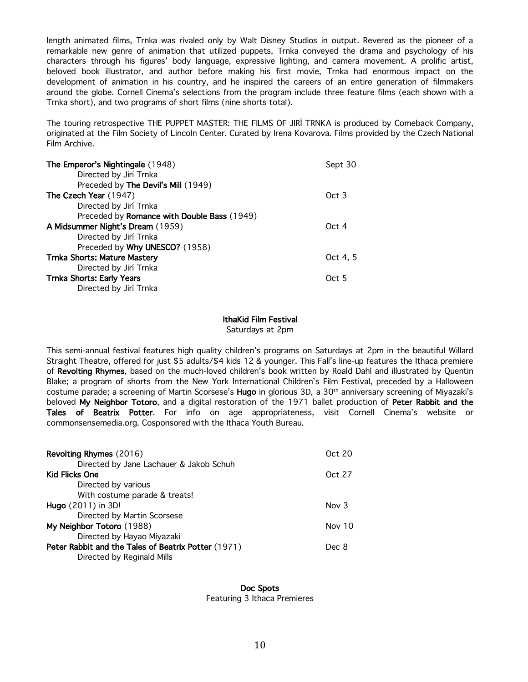length animated films, Trnka was rivaled only by Walt Disney Studios in output. Revered as the pioneer of a remarkable new genre of animation that utilized puppets, Trnka conveyed the drama and psychology of his characters through his figures' body language, expressive lighting, and camera movement. A prolific artist, beloved book illustrator, and author before making his first movie, Trnka had enormous impact on the development of animation in his country, and he inspired the careers of an entire generation of filmmakers around the globe. Cornell Cinema's selections from the program include three feature films (each shown with a Trnka short), and two programs of short films (nine shorts total).

The touring retrospective THE PUPPET MASTER: THE FILMS OF JIRÍ TRNKA is produced by Comeback Company, originated at the Film Society of Lincoln Center. Curated by Irena Kovarova. Films provided by the Czech National Film Archive.

| The Emperor's Nightingale (1948)            | Sept 30          |
|---------------------------------------------|------------------|
| Directed by Jirí Trnka                      |                  |
| Preceded by The Devil's Mill (1949)         |                  |
| The Czech Year (1947)                       | Oct <sub>3</sub> |
| Directed by Jirí Trnka                      |                  |
| Preceded by Romance with Double Bass (1949) |                  |
| A Midsummer Night's Dream (1959)            | Oct 4            |
| Directed by Jirí Trnka                      |                  |
| Preceded by Why UNESCO? (1958)              |                  |
| <b>Trnka Shorts: Mature Mastery</b>         | Oct 4.5          |
| Directed by Jirí Trnka                      |                  |
| <b>Trnka Shorts: Early Years</b>            | Oct 5            |
| Directed by Jirí Trnka                      |                  |

#### IthaKid Film Festival

Saturdays at 2pm

This semi-annual festival features high quality children's programs on Saturdays at 2pm in the beautiful Willard Straight Theatre, offered for just \$5 adults/\$4 kids 12 & younger. This Fall's line-up features the Ithaca premiere of Revolting Rhymes, based on the much-loved children's book written by Roald Dahl and illustrated by Quentin Blake; a program of shorts from the New York International Children's Film Festival, preceded by a Halloween costume parade; a screening of Martin Scorsese's Hugo in glorious 3D, a 30th anniversary screening of Miyazaki's beloved My Neighbor Totoro, and a digital restoration of the 1971 ballet production of Peter Rabbit and the Tales of Beatrix Potter. For info on age appropriateness, visit Cornell Cinema's website or commonsensemedia.org. Cosponsored with the Ithaca Youth Bureau.

| Oct 20  |
|---------|
|         |
| Oct 27  |
|         |
|         |
| Nov $3$ |
|         |
| Nov 10  |
|         |
| Dec 8   |
|         |
|         |

Doc Spots Featuring 3 Ithaca Premieres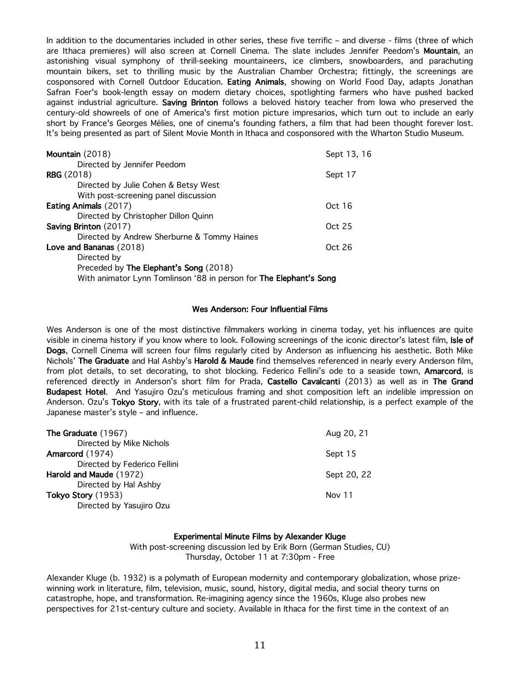In addition to the documentaries included in other series, these five terrific – and diverse - films (three of which are Ithaca premieres) will also screen at Cornell Cinema. The slate includes Jennifer Peedom's Mountain, an astonishing visual symphony of thrill-seeking mountaineers, ice climbers, snowboarders, and parachuting mountain bikers, set to thrilling music by the Australian Chamber Orchestra; fittingly, the screenings are cosponsored with Cornell Outdoor Education. Eating Animals, showing on World Food Day, adapts Jonathan Safran Foer's book-length essay on modern dietary choices, spotlighting farmers who have pushed backed against industrial agriculture. Saving Brinton follows a beloved history teacher from lowa who preserved the century-old showreels of one of America's first motion picture impresarios, which turn out to include an early short by France's Georges Mélies, one of cinema's founding fathers, a film that had been thought forever lost. It's being presented as part of Silent Movie Month in Ithaca and cosponsored with the Wharton Studio Museum.

| Mountain (2018)                                                    | Sept 13, 16 |
|--------------------------------------------------------------------|-------------|
| Directed by Jennifer Peedom                                        |             |
| <b>RBG</b> (2018)                                                  | Sept 17     |
| Directed by Julie Cohen & Betsy West                               |             |
| With post-screening panel discussion                               |             |
| <b>Eating Animals (2017)</b>                                       | Oct 16      |
| Directed by Christopher Dillon Quinn                               |             |
| Saving Brinton (2017)                                              | Oct 25      |
| Directed by Andrew Sherburne & Tommy Haines                        |             |
| Love and Bananas (2018)                                            | Oct 26      |
| Directed by                                                        |             |
| Preceded by The Elephant's Song (2018)                             |             |
| With animator Lynn Tomlinson '88 in person for The Elephant's Song |             |

#### Wes Anderson: Four Influential Films

Wes Anderson is one of the most distinctive filmmakers working in cinema today, yet his influences are quite visible in cinema history if you know where to look. Following screenings of the iconic director's latest film, Isle of Dogs, Cornell Cinema will screen four films regularly cited by Anderson as influencing his aesthetic. Both Mike Nichols' The Graduate and Hal Ashby's Harold & Maude find themselves referenced in nearly every Anderson film, from plot details, to set decorating, to shot blocking. Federico Fellini's ode to a seaside town, Amarcord, is referenced directly in Anderson's short film for Prada, Castello Cavalcanti (2013) as well as in The Grand Budapest Hotel. And Yasujiro Ozu's meticulous framing and shot composition left an indelible impression on Anderson. Ozu's Tokyo Story, with its tale of a frustrated parent-child relationship, is a perfect example of the Japanese master's style – and influence.

| The Graduate (1967)          | Aug 20, 21  |
|------------------------------|-------------|
| Directed by Mike Nichols     |             |
| Amarcord (1974)              | Sept 15     |
| Directed by Federico Fellini |             |
| Harold and Maude (1972)      | Sept 20, 22 |
| Directed by Hal Ashby        |             |
| Tokyo Story (1953)           | Nov 11      |
| Directed by Yasujiro Ozu     |             |

#### Experimental Minute Films by Alexander Kluge

With post-screening discussion led by Erik Born (German Studies, CU) Thursday, October 11 at 7:30pm - Free

Alexander Kluge (b. 1932) is a polymath of European modernity and contemporary globalization, whose prizewinning work in literature, film, television, music, sound, history, digital media, and social theory turns on catastrophe, hope, and transformation. Re-imagining agency since the 1960s, Kluge also probes new perspectives for 21st-century culture and society. Available in Ithaca for the first time in the context of an